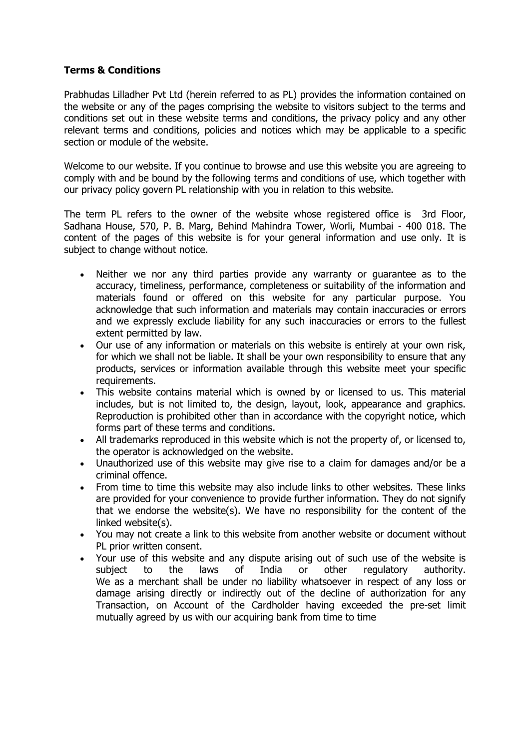# **Terms & Conditions**

Prabhudas Lilladher Pvt Ltd (herein referred to as PL) provides the information contained on the website or any of the pages comprising the website to visitors subject to the terms and conditions set out in these website terms and conditions, the privacy policy and any other relevant terms and conditions, policies and notices which may be applicable to a specific section or module of the website.

Welcome to our website. If you continue to browse and use this website you are agreeing to comply with and be bound by the following terms and conditions of use, which together with our privacy policy govern PL relationship with you in relation to this website.

The term PL refers to the owner of the website whose registered office is 3rd Floor, Sadhana House, 570, P. B. Marg, Behind Mahindra Tower, Worli, Mumbai - 400 018. The content of the pages of this website is for your general information and use only. It is subject to change without notice.

- Neither we nor any third parties provide any warranty or guarantee as to the accuracy, timeliness, performance, completeness or suitability of the information and materials found or offered on this website for any particular purpose. You acknowledge that such information and materials may contain inaccuracies or errors and we expressly exclude liability for any such inaccuracies or errors to the fullest extent permitted by law.
- Our use of any information or materials on this website is entirely at your own risk, for which we shall not be liable. It shall be your own responsibility to ensure that any products, services or information available through this website meet your specific requirements.
- This website contains material which is owned by or licensed to us. This material includes, but is not limited to, the design, layout, look, appearance and graphics. Reproduction is prohibited other than in accordance with the copyright notice, which forms part of these terms and conditions.
- All trademarks reproduced in this website which is not the property of, or licensed to, the operator is acknowledged on the website.
- Unauthorized use of this website may give rise to a claim for damages and/or be a criminal offence.
- From time to time this website may also include links to other websites. These links are provided for your convenience to provide further information. They do not signify that we endorse the website(s). We have no responsibility for the content of the linked website(s).
- You may not create a link to this website from another website or document without PL prior written consent.
- Your use of this website and any dispute arising out of such use of the website is subject to the laws of India or other regulatory authority. We as a merchant shall be under no liability whatsoever in respect of any loss or damage arising directly or indirectly out of the decline of authorization for any Transaction, on Account of the Cardholder having exceeded the pre-set limit mutually agreed by us with our acquiring bank from time to time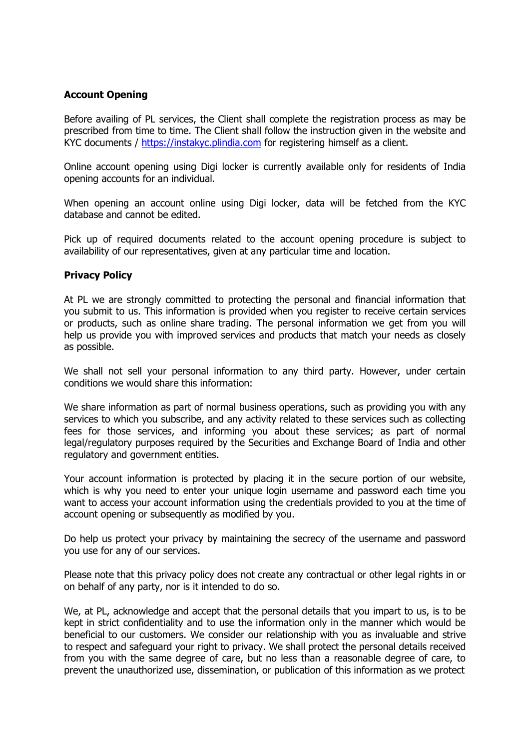# **Account Opening**

Before availing of PL services, the Client shall complete the registration process as may be prescribed from time to time. The Client shall follow the instruction given in the website and KYC documents / [https://instakyc.plindia.com](https://instakyc.plindia.com/) for registering himself as a client.

Online account opening using Digi locker is currently available only for residents of India opening accounts for an individual.

When opening an account online using Digi locker, data will be fetched from the KYC database and cannot be edited.

Pick up of required documents related to the account opening procedure is subject to availability of our representatives, given at any particular time and location.

# **Privacy Policy**

At PL we are strongly committed to protecting the personal and financial information that you submit to us. This information is provided when you register to receive certain services or products, such as online share trading. The personal information we get from you will help us provide you with improved services and products that match your needs as closely as possible.

We shall not sell your personal information to any third party. However, under certain conditions we would share this information:

We share information as part of normal business operations, such as providing you with any services to which you subscribe, and any activity related to these services such as collecting fees for those services, and informing you about these services; as part of normal legal/regulatory purposes required by the Securities and Exchange Board of India and other regulatory and government entities.

Your account information is protected by placing it in the secure portion of our website, which is why you need to enter your unique login username and password each time you want to access your account information using the credentials provided to you at the time of account opening or subsequently as modified by you.

Do help us protect your privacy by maintaining the secrecy of the username and password you use for any of our services.

Please note that this privacy policy does not create any contractual or other legal rights in or on behalf of any party, nor is it intended to do so.

We, at PL, acknowledge and accept that the personal details that you impart to us, is to be kept in strict confidentiality and to use the information only in the manner which would be beneficial to our customers. We consider our relationship with you as invaluable and strive to respect and safeguard your right to privacy. We shall protect the personal details received from you with the same degree of care, but no less than a reasonable degree of care, to prevent the unauthorized use, dissemination, or publication of this information as we protect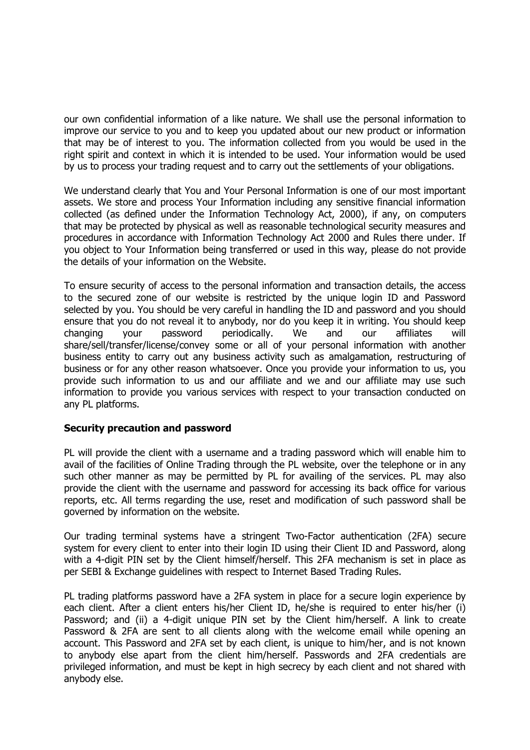our own confidential information of a like nature. We shall use the personal information to improve our service to you and to keep you updated about our new product or information that may be of interest to you. The information collected from you would be used in the right spirit and context in which it is intended to be used. Your information would be used by us to process your trading request and to carry out the settlements of your obligations.

We understand clearly that You and Your Personal Information is one of our most important assets. We store and process Your Information including any sensitive financial information collected (as defined under the Information Technology Act, 2000), if any, on computers that may be protected by physical as well as reasonable technological security measures and procedures in accordance with Information Technology Act 2000 and Rules there under. If you object to Your Information being transferred or used in this way, please do not provide the details of your information on the Website.

To ensure security of access to the personal information and transaction details, the access to the secured zone of our website is restricted by the unique login ID and Password selected by you. You should be very careful in handling the ID and password and you should ensure that you do not reveal it to anybody, nor do you keep it in writing. You should keep changing your password periodically. We and our affiliates will share/sell/transfer/license/convey some or all of your personal information with another business entity to carry out any business activity such as amalgamation, restructuring of business or for any other reason whatsoever. Once you provide your information to us, you provide such information to us and our affiliate and we and our affiliate may use such information to provide you various services with respect to your transaction conducted on any PL platforms.

## **Security precaution and password**

PL will provide the client with a username and a trading password which will enable him to avail of the facilities of Online Trading through the PL website, over the telephone or in any such other manner as may be permitted by PL for availing of the services. PL may also provide the client with the username and password for accessing its back office for various reports, etc. All terms regarding the use, reset and modification of such password shall be governed by information on the website.

Our trading terminal systems have a stringent Two-Factor authentication (2FA) secure system for every client to enter into their login ID using their Client ID and Password, along with a 4-digit PIN set by the Client himself/herself. This 2FA mechanism is set in place as per SEBI & Exchange guidelines with respect to Internet Based Trading Rules.

PL trading platforms password have a 2FA system in place for a secure login experience by each client. After a client enters his/her Client ID, he/she is required to enter his/her (i) Password; and (ii) a 4-digit unique PIN set by the Client him/herself. A link to create Password & 2FA are sent to all clients along with the welcome email while opening an account. This Password and 2FA set by each client, is unique to him/her, and is not known to anybody else apart from the client him/herself. Passwords and 2FA credentials are privileged information, and must be kept in high secrecy by each client and not shared with anybody else.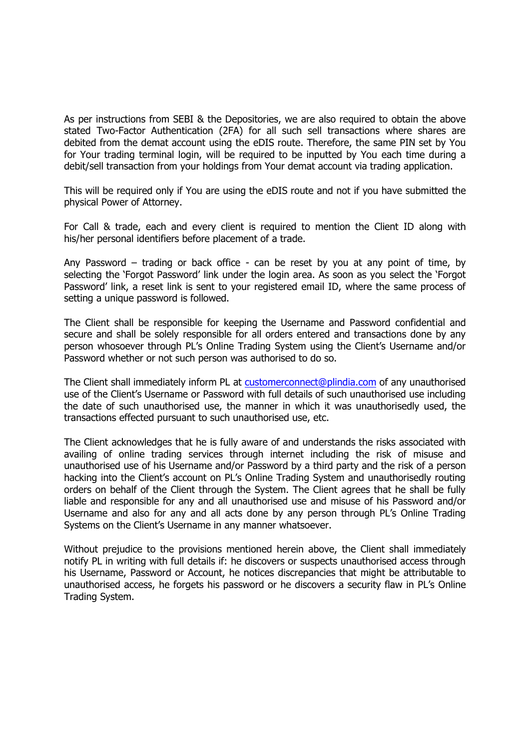As per instructions from SEBI & the Depositories, we are also required to obtain the above stated Two-Factor Authentication (2FA) for all such sell transactions where shares are debited from the demat account using the eDIS route. Therefore, the same PIN set by You for Your trading terminal login, will be required to be inputted by You each time during a debit/sell transaction from your holdings from Your demat account via trading application.

This will be required only if You are using the eDIS route and not if you have submitted the physical Power of Attorney.

For Call & trade, each and every client is required to mention the Client ID along with his/her personal identifiers before placement of a trade.

Any Password – trading or back office - can be reset by you at any point of time, by selecting the 'Forgot Password' link under the login area. As soon as you select the 'Forgot Password' link, a reset link is sent to your registered email ID, where the same process of setting a unique password is followed.

The Client shall be responsible for keeping the Username and Password confidential and secure and shall be solely responsible for all orders entered and transactions done by any person whosoever through PL's Online Trading System using the Client's Username and/or Password whether or not such person was authorised to do so.

The Client shall immediately inform PL at [customerconnect@plindia.com](mailto:customerconnect@plindia.com) of any unauthorised use of the Client's Username or Password with full details of such unauthorised use including the date of such unauthorised use, the manner in which it was unauthorisedly used, the transactions effected pursuant to such unauthorised use, etc.

The Client acknowledges that he is fully aware of and understands the risks associated with availing of online trading services through internet including the risk of misuse and unauthorised use of his Username and/or Password by a third party and the risk of a person hacking into the Client's account on PL's Online Trading System and unauthorisedly routing orders on behalf of the Client through the System. The Client agrees that he shall be fully liable and responsible for any and all unauthorised use and misuse of his Password and/or Username and also for any and all acts done by any person through PL's Online Trading Systems on the Client's Username in any manner whatsoever.

Without prejudice to the provisions mentioned herein above, the Client shall immediately notify PL in writing with full details if: he discovers or suspects unauthorised access through his Username, Password or Account, he notices discrepancies that might be attributable to unauthorised access, he forgets his password or he discovers a security flaw in PL's Online Trading System.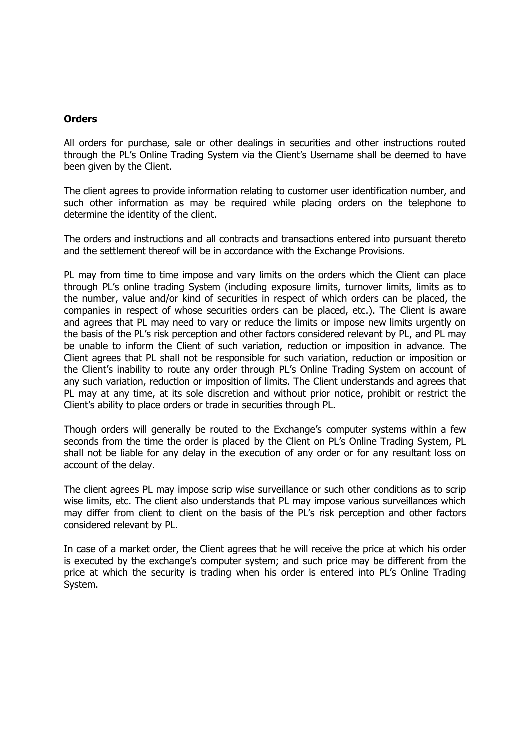## **Orders**

All orders for purchase, sale or other dealings in securities and other instructions routed through the PL's Online Trading System via the Client's Username shall be deemed to have been given by the Client.

The client agrees to provide information relating to customer user identification number, and such other information as may be required while placing orders on the telephone to determine the identity of the client.

The orders and instructions and all contracts and transactions entered into pursuant thereto and the settlement thereof will be in accordance with the Exchange Provisions.

PL may from time to time impose and vary limits on the orders which the Client can place through PL's online trading System (including exposure limits, turnover limits, limits as to the number, value and/or kind of securities in respect of which orders can be placed, the companies in respect of whose securities orders can be placed, etc.). The Client is aware and agrees that PL may need to vary or reduce the limits or impose new limits urgently on the basis of the PL's risk perception and other factors considered relevant by PL, and PL may be unable to inform the Client of such variation, reduction or imposition in advance. The Client agrees that PL shall not be responsible for such variation, reduction or imposition or the Client's inability to route any order through PL's Online Trading System on account of any such variation, reduction or imposition of limits. The Client understands and agrees that PL may at any time, at its sole discretion and without prior notice, prohibit or restrict the Client's ability to place orders or trade in securities through PL.

Though orders will generally be routed to the Exchange's computer systems within a few seconds from the time the order is placed by the Client on PL's Online Trading System, PL shall not be liable for any delay in the execution of any order or for any resultant loss on account of the delay.

The client agrees PL may impose scrip wise surveillance or such other conditions as to scrip wise limits, etc. The client also understands that PL may impose various surveillances which may differ from client to client on the basis of the PL's risk perception and other factors considered relevant by PL.

In case of a market order, the Client agrees that he will receive the price at which his order is executed by the exchange's computer system; and such price may be different from the price at which the security is trading when his order is entered into PL's Online Trading System.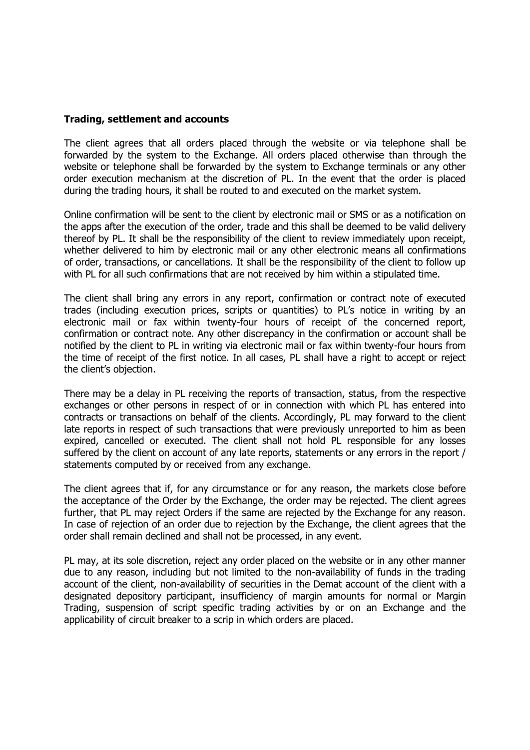#### **Trading, settlement and accounts**

The client agrees that all orders placed through the website or via telephone shall be forwarded by the system to the Exchange. All orders placed otherwise than through the website or telephone shall be forwarded by the system to Exchange terminals or any other order execution mechanism at the discretion of PL. In the event that the order is placed during the trading hours, it shall be routed to and executed on the market system.

Online confirmation will be sent to the client by electronic mail or SMS or as a notification on the apps after the execution of the order, trade and this shall be deemed to be valid delivery thereof by PL. It shall be the responsibility of the client to review immediately upon receipt, whether delivered to him by electronic mail or any other electronic means all confirmations of order, transactions, or cancellations. It shall be the responsibility of the client to follow up with PL for all such confirmations that are not received by him within a stipulated time.

The client shall bring any errors in any report, confirmation or contract note of executed trades (including execution prices, scripts or quantities) to PL's notice in writing by an electronic mail or fax within twenty-four hours of receipt of the concerned report, confirmation or contract note. Any other discrepancy in the confirmation or account shall be notified by the client to PL in writing via electronic mail or fax within twenty-four hours from the time of receipt of the first notice. In all cases, PL shall have a right to accept or reject the client's objection.

There may be a delay in PL receiving the reports of transaction, status, from the respective exchanges or other persons in respect of or in connection with which PL has entered into contracts or transactions on behalf of the clients. Accordingly, PL may forward to the client late reports in respect of such transactions that were previously unreported to him as been expired, cancelled or executed. The client shall not hold PL responsible for any losses suffered by the client on account of any late reports, statements or any errors in the report / statements computed by or received from any exchange.

The client agrees that if, for any circumstance or for any reason, the markets close before the acceptance of the Order by the Exchange, the order may be rejected. The client agrees further, that PL may reject Orders if the same are rejected by the Exchange for any reason. In case of rejection of an order due to rejection by the Exchange, the client agrees that the order shall remain declined and shall not be processed, in any event.

PL may, at its sole discretion, reject any order placed on the website or in any other manner due to any reason, including but not limited to the non-availability of funds in the trading account of the client, non-availability of securities in the Demat account of the client with a designated depository participant, insufficiency of margin amounts for normal or Margin Trading, suspension of script specific trading activities by or on an Exchange and the applicability of circuit breaker to a scrip in which orders are placed.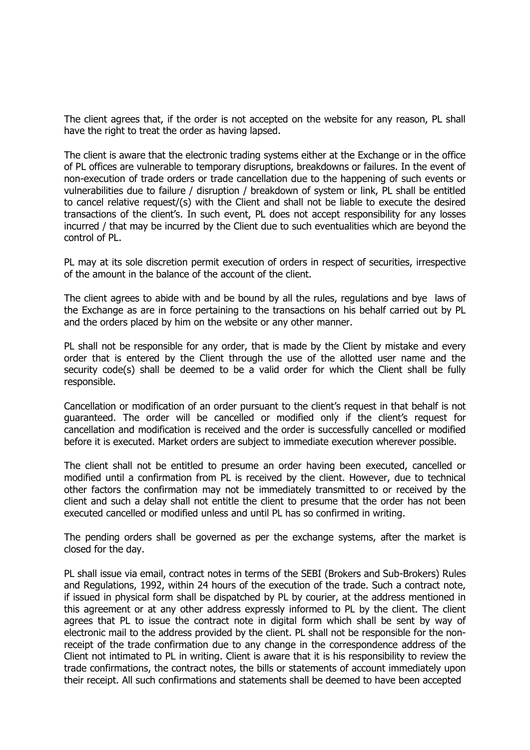The client agrees that, if the order is not accepted on the website for any reason, PL shall have the right to treat the order as having lapsed.

The client is aware that the electronic trading systems either at the Exchange or in the office of PL offices are vulnerable to temporary disruptions, breakdowns or failures. In the event of non-execution of trade orders or trade cancellation due to the happening of such events or vulnerabilities due to failure / disruption / breakdown of system or link, PL shall be entitled to cancel relative request/(s) with the Client and shall not be liable to execute the desired transactions of the client's. In such event, PL does not accept responsibility for any losses incurred / that may be incurred by the Client due to such eventualities which are beyond the control of PL.

PL may at its sole discretion permit execution of orders in respect of securities, irrespective of the amount in the balance of the account of the client.

The client agrees to abide with and be bound by all the rules, regulations and bye laws of the Exchange as are in force pertaining to the transactions on his behalf carried out by PL and the orders placed by him on the website or any other manner.

PL shall not be responsible for any order, that is made by the Client by mistake and every order that is entered by the Client through the use of the allotted user name and the security code(s) shall be deemed to be a valid order for which the Client shall be fully responsible.

Cancellation or modification of an order pursuant to the client's request in that behalf is not guaranteed. The order will be cancelled or modified only if the client's request for cancellation and modification is received and the order is successfully cancelled or modified before it is executed. Market orders are subject to immediate execution wherever possible.

The client shall not be entitled to presume an order having been executed, cancelled or modified until a confirmation from PL is received by the client. However, due to technical other factors the confirmation may not be immediately transmitted to or received by the client and such a delay shall not entitle the client to presume that the order has not been executed cancelled or modified unless and until PL has so confirmed in writing.

The pending orders shall be governed as per the exchange systems, after the market is closed for the day.

PL shall issue via email, contract notes in terms of the SEBI (Brokers and Sub-Brokers) Rules and Regulations, 1992, within 24 hours of the execution of the trade. Such a contract note, if issued in physical form shall be dispatched by PL by courier, at the address mentioned in this agreement or at any other address expressly informed to PL by the client. The client agrees that PL to issue the contract note in digital form which shall be sent by way of electronic mail to the address provided by the client. PL shall not be responsible for the nonreceipt of the trade confirmation due to any change in the correspondence address of the Client not intimated to PL in writing. Client is aware that it is his responsibility to review the trade confirmations, the contract notes, the bills or statements of account immediately upon their receipt. All such confirmations and statements shall be deemed to have been accepted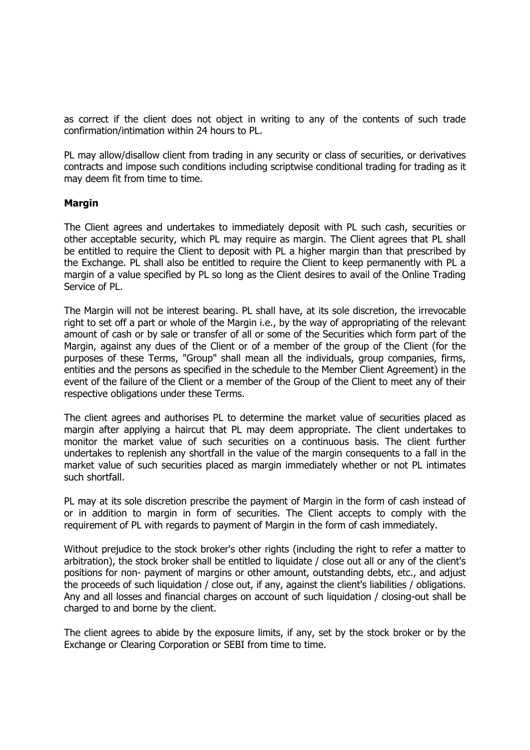as correct if the client does not object in writing to any of the contents of such trade confirmation/intimation within 24 hours to PL.

PL may allow/disallow client from trading in any security or class of securities, or derivatives contracts and impose such conditions including scriptwise conditional trading for trading as it may deem fit from time to time.

#### **Margin**

The Client agrees and undertakes to immediately deposit with PL such cash, securities or other acceptable security, which PL may require as margin. The Client agrees that PL shall be entitled to require the Client to deposit with PL a higher margin than that prescribed by the Exchange. PL shall also be entitled to require the Client to keep permanently with PL a margin of a value specified by PL so long as the Client desires to avail of the Online Trading Service of PL.

The Margin will not be interest bearing. PL shall have, at its sole discretion, the irrevocable right to set off a part or whole of the Margin i.e., by the way of appropriating of the relevant amount of cash or by sale or transfer of all or some of the Securities which form part of the Margin, against any dues of the Client or of a member of the group of the Client (for the purposes of these Terms, "Group" shall mean all the individuals, group companies, firms, entities and the persons as specified in the schedule to the Member Client Agreement) in the event of the failure of the Client or a member of the Group of the Client to meet any of their respective obligations under these Terms.

The client agrees and authorises PL to determine the market value of securities placed as margin after applying a haircut that PL may deem appropriate. The client undertakes to monitor the market value of such securities on a continuous basis. The client further undertakes to replenish any shortfall in the value of the margin consequents to a fall in the market value of such securities placed as margin immediately whether or not PL intimates such shortfall.

PL may at its sole discretion prescribe the payment of Margin in the form of cash instead of or in addition to margin in form of securities. The Client accepts to comply with the requirement of PL with regards to payment of Margin in the form of cash immediately.

Without prejudice to the stock broker's other rights (including the right to refer a matter to arbitration), the stock broker shall be entitled to liquidate / close out all or any of the client's positions for non- payment of margins or other amount, outstanding debts, etc., and adjust the proceeds of such liquidation / close out, if any, against the client's liabilities / obligations. Any and all losses and financial charges on account of such liquidation / closing-out shall be charged to and borne by the client.

The client agrees to abide by the exposure limits, if any, set by the stock broker or by the Exchange or Clearing Corporation or SEBI from time to time.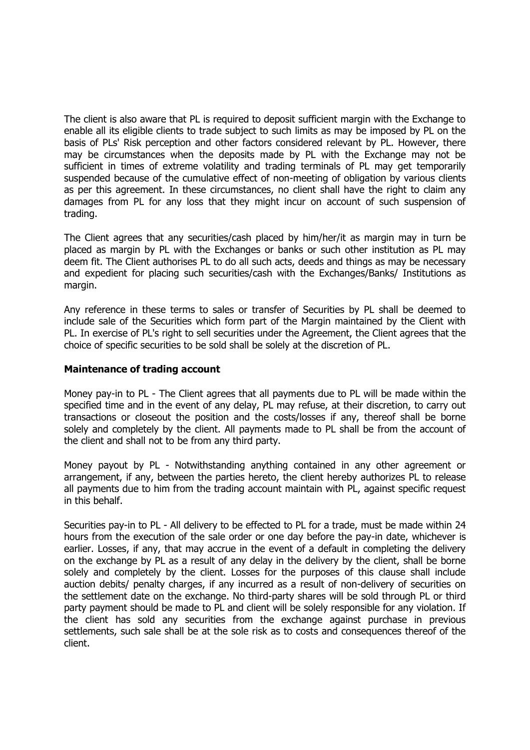The client is also aware that PL is required to deposit sufficient margin with the Exchange to enable all its eligible clients to trade subject to such limits as may be imposed by PL on the basis of PLs' Risk perception and other factors considered relevant by PL. However, there may be circumstances when the deposits made by PL with the Exchange may not be sufficient in times of extreme volatility and trading terminals of PL may get temporarily suspended because of the cumulative effect of non-meeting of obligation by various clients as per this agreement. In these circumstances, no client shall have the right to claim any damages from PL for any loss that they might incur on account of such suspension of trading.

The Client agrees that any securities/cash placed by him/her/it as margin may in turn be placed as margin by PL with the Exchanges or banks or such other institution as PL may deem fit. The Client authorises PL to do all such acts, deeds and things as may be necessary and expedient for placing such securities/cash with the Exchanges/Banks/ Institutions as margin.

Any reference in these terms to sales or transfer of Securities by PL shall be deemed to include sale of the Securities which form part of the Margin maintained by the Client with PL. In exercise of PL's right to sell securities under the Agreement, the Client agrees that the choice of specific securities to be sold shall be solely at the discretion of PL.

## **Maintenance of trading account**

Money pay-in to PL - The Client agrees that all payments due to PL will be made within the specified time and in the event of any delay, PL may refuse, at their discretion, to carry out transactions or closeout the position and the costs/losses if any, thereof shall be borne solely and completely by the client. All payments made to PL shall be from the account of the client and shall not to be from any third party.

Money payout by PL - Notwithstanding anything contained in any other agreement or arrangement, if any, between the parties hereto, the client hereby authorizes PL to release all payments due to him from the trading account maintain with PL, against specific request in this behalf.

Securities pay-in to PL - All delivery to be effected to PL for a trade, must be made within 24 hours from the execution of the sale order or one day before the pay-in date, whichever is earlier. Losses, if any, that may accrue in the event of a default in completing the delivery on the exchange by PL as a result of any delay in the delivery by the client, shall be borne solely and completely by the client. Losses for the purposes of this clause shall include auction debits/ penalty charges, if any incurred as a result of non-delivery of securities on the settlement date on the exchange. No third-party shares will be sold through PL or third party payment should be made to PL and client will be solely responsible for any violation. If the client has sold any securities from the exchange against purchase in previous settlements, such sale shall be at the sole risk as to costs and consequences thereof of the client.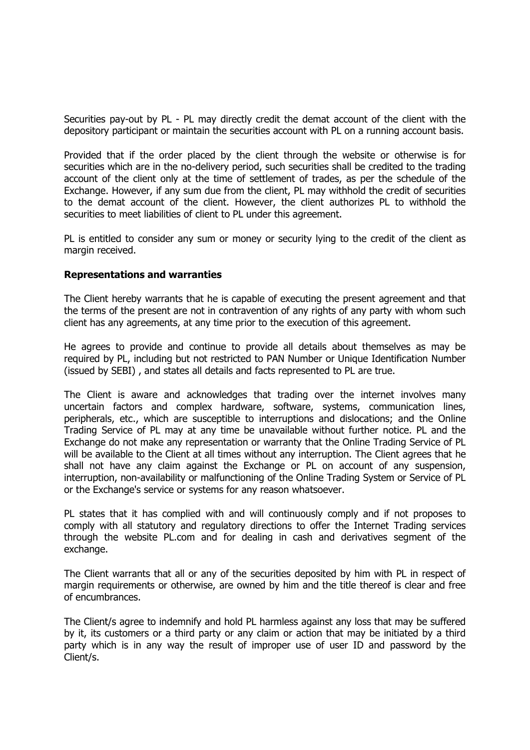Securities pay-out by PL - PL may directly credit the demat account of the client with the depository participant or maintain the securities account with PL on a running account basis.

Provided that if the order placed by the client through the website or otherwise is for securities which are in the no-delivery period, such securities shall be credited to the trading account of the client only at the time of settlement of trades, as per the schedule of the Exchange. However, if any sum due from the client, PL may withhold the credit of securities to the demat account of the client. However, the client authorizes PL to withhold the securities to meet liabilities of client to PL under this agreement.

PL is entitled to consider any sum or money or security lying to the credit of the client as margin received.

#### **Representations and warranties**

The Client hereby warrants that he is capable of executing the present agreement and that the terms of the present are not in contravention of any rights of any party with whom such client has any agreements, at any time prior to the execution of this agreement.

He agrees to provide and continue to provide all details about themselves as may be required by PL, including but not restricted to PAN Number or Unique Identification Number (issued by SEBI) , and states all details and facts represented to PL are true.

The Client is aware and acknowledges that trading over the internet involves many uncertain factors and complex hardware, software, systems, communication lines, peripherals, etc., which are susceptible to interruptions and dislocations; and the Online Trading Service of PL may at any time be unavailable without further notice. PL and the Exchange do not make any representation or warranty that the Online Trading Service of PL will be available to the Client at all times without any interruption. The Client agrees that he shall not have any claim against the Exchange or PL on account of any suspension, interruption, non-availability or malfunctioning of the Online Trading System or Service of PL or the Exchange's service or systems for any reason whatsoever.

PL states that it has complied with and will continuously comply and if not proposes to comply with all statutory and regulatory directions to offer the Internet Trading services through the website PL.com and for dealing in cash and derivatives segment of the exchange.

The Client warrants that all or any of the securities deposited by him with PL in respect of margin requirements or otherwise, are owned by him and the title thereof is clear and free of encumbrances.

The Client/s agree to indemnify and hold PL harmless against any loss that may be suffered by it, its customers or a third party or any claim or action that may be initiated by a third party which is in any way the result of improper use of user ID and password by the Client/s.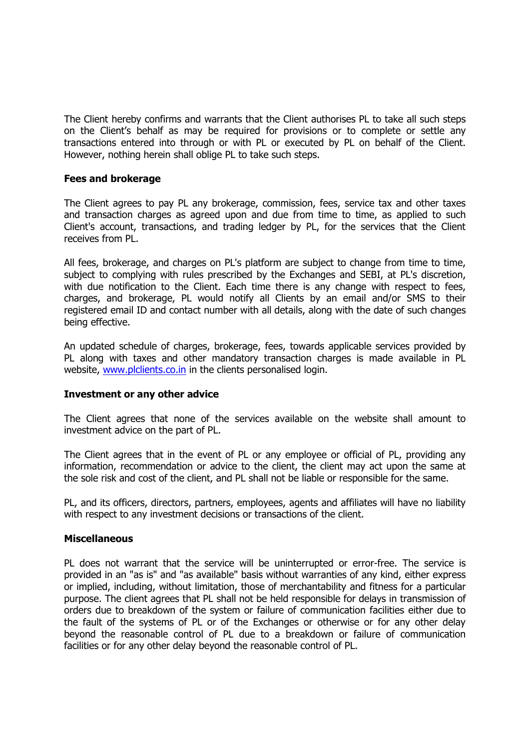The Client hereby confirms and warrants that the Client authorises PL to take all such steps on the Client's behalf as may be required for provisions or to complete or settle any transactions entered into through or with PL or executed by PL on behalf of the Client. However, nothing herein shall oblige PL to take such steps.

## **Fees and brokerage**

The Client agrees to pay PL any brokerage, commission, fees, service tax and other taxes and transaction charges as agreed upon and due from time to time, as applied to such Client's account, transactions, and trading ledger by PL, for the services that the Client receives from PL.

All fees, brokerage, and charges on PL's platform are subject to change from time to time, subject to complying with rules prescribed by the Exchanges and SEBI, at PL's discretion, with due notification to the Client. Each time there is any change with respect to fees, charges, and brokerage, PL would notify all Clients by an email and/or SMS to their registered email ID and contact number with all details, along with the date of such changes being effective.

An updated schedule of charges, brokerage, fees, towards applicable services provided by PL along with taxes and other mandatory transaction charges is made available in PL website, [www.plclients.co.in](http://www.plclients.co.in/) in the clients personalised login.

## **Investment or any other advice**

The Client agrees that none of the services available on the website shall amount to investment advice on the part of PL.

The Client agrees that in the event of PL or any employee or official of PL, providing any information, recommendation or advice to the client, the client may act upon the same at the sole risk and cost of the client, and PL shall not be liable or responsible for the same.

PL, and its officers, directors, partners, employees, agents and affiliates will have no liability with respect to any investment decisions or transactions of the client.

#### **Miscellaneous**

PL does not warrant that the service will be uninterrupted or error-free. The service is provided in an "as is" and "as available" basis without warranties of any kind, either express or implied, including, without limitation, those of merchantability and fitness for a particular purpose. The client agrees that PL shall not be held responsible for delays in transmission of orders due to breakdown of the system or failure of communication facilities either due to the fault of the systems of PL or of the Exchanges or otherwise or for any other delay beyond the reasonable control of PL due to a breakdown or failure of communication facilities or for any other delay beyond the reasonable control of PL.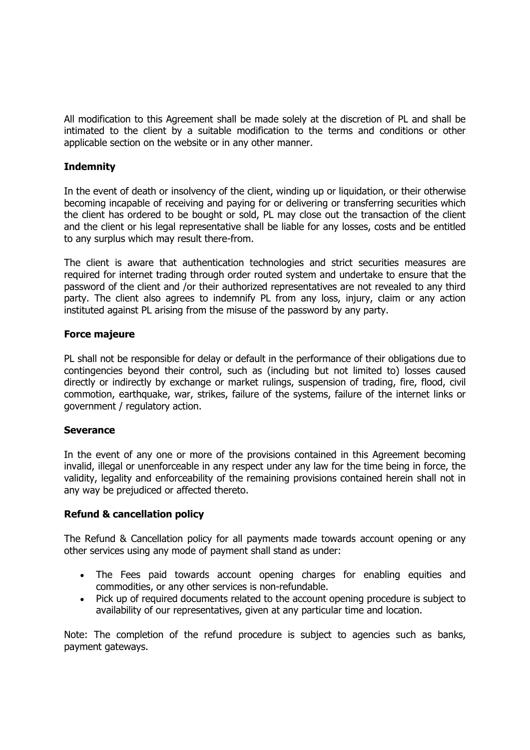All modification to this Agreement shall be made solely at the discretion of PL and shall be intimated to the client by a suitable modification to the terms and conditions or other applicable section on the website or in any other manner.

# **Indemnity**

In the event of death or insolvency of the client, winding up or liquidation, or their otherwise becoming incapable of receiving and paying for or delivering or transferring securities which the client has ordered to be bought or sold, PL may close out the transaction of the client and the client or his legal representative shall be liable for any losses, costs and be entitled to any surplus which may result there-from.

The client is aware that authentication technologies and strict securities measures are required for internet trading through order routed system and undertake to ensure that the password of the client and /or their authorized representatives are not revealed to any third party. The client also agrees to indemnify PL from any loss, injury, claim or any action instituted against PL arising from the misuse of the password by any party.

## **Force majeure**

PL shall not be responsible for delay or default in the performance of their obligations due to contingencies beyond their control, such as (including but not limited to) losses caused directly or indirectly by exchange or market rulings, suspension of trading, fire, flood, civil commotion, earthquake, war, strikes, failure of the systems, failure of the internet links or government / regulatory action.

## **Severance**

In the event of any one or more of the provisions contained in this Agreement becoming invalid, illegal or unenforceable in any respect under any law for the time being in force, the validity, legality and enforceability of the remaining provisions contained herein shall not in any way be prejudiced or affected thereto.

## **Refund & cancellation policy**

The Refund & Cancellation policy for all payments made towards account opening or any other services using any mode of payment shall stand as under:

- The Fees paid towards account opening charges for enabling equities and commodities, or any other services is non-refundable.
- Pick up of required documents related to the account opening procedure is subject to availability of our representatives, given at any particular time and location.

Note: The completion of the refund procedure is subject to agencies such as banks, payment gateways.